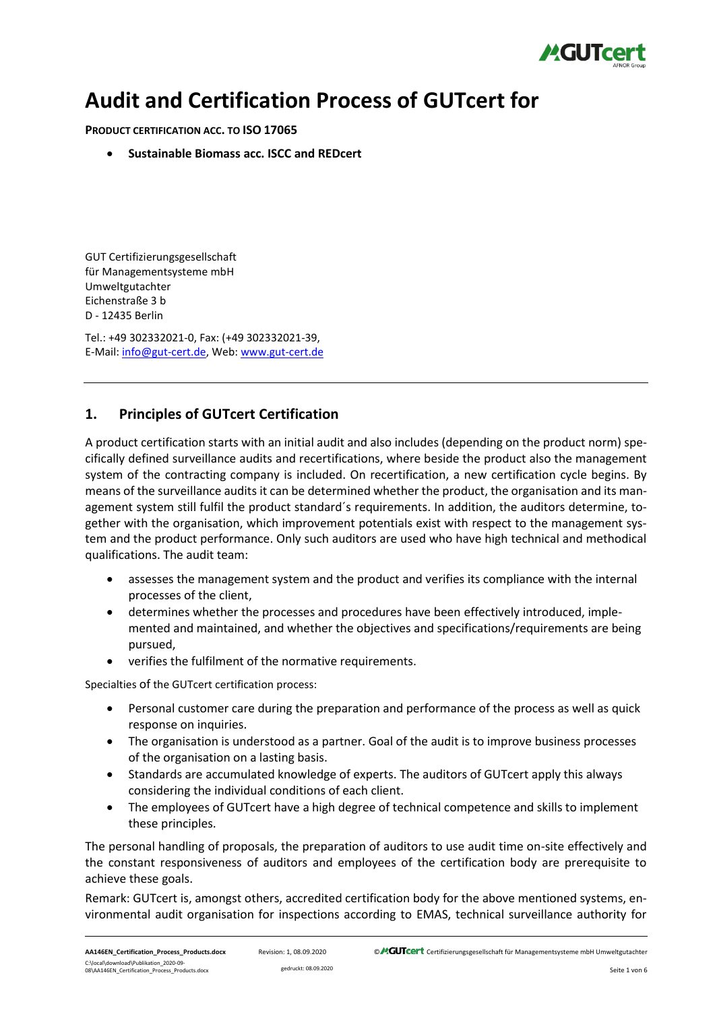

# **Audit and Certification Process of GUTcert for**

**PRODUCT CERTIFICATION ACC. TO ISO 17065**

• **Sustainable Biomass acc. ISCC and REDcert**

GUT Certifizierungsgesellschaft für Managementsysteme mbH Umweltgutachter Eichenstraße 3 b D - 12435 Berlin

Tel.: +49 302332021-0, Fax: (+49 302332021-39, E-Mail[: info@gut-cert.de,](mailto:info@gut-cert.de) Web: www.gut-cert.de

# **1. Principles of GUTcert Certification**

A product certification starts with an initial audit and also includes (depending on the product norm) specifically defined surveillance audits and recertifications, where beside the product also the management system of the contracting company is included. On recertification, a new certification cycle begins. By means of the surveillance audits it can be determined whether the product, the organisation and its management system still fulfil the product standard´s requirements. In addition, the auditors determine, together with the organisation, which improvement potentials exist with respect to the management system and the product performance. Only such auditors are used who have high technical and methodical qualifications. The audit team:

- assesses the management system and the product and verifies its compliance with the internal processes of the client,
- determines whether the processes and procedures have been effectively introduced, implemented and maintained, and whether the objectives and specifications/requirements are being pursued,
- verifies the fulfilment of the normative requirements.

Specialties of the GUTcert certification process:

- Personal customer care during the preparation and performance of the process as well as quick response on inquiries.
- The organisation is understood as a partner. Goal of the audit is to improve business processes of the organisation on a lasting basis.
- Standards are accumulated knowledge of experts. The auditors of GUTcert apply this always considering the individual conditions of each client.
- The employees of GUTcert have a high degree of technical competence and skills to implement these principles.

The personal handling of proposals, the preparation of auditors to use audit time on-site effectively and the constant responsiveness of auditors and employees of the certification body are prerequisite to achieve these goals.

Remark: GUTcert is, amongst others, accredited certification body for the above mentioned systems, environmental audit organisation for inspections according to EMAS, technical surveillance authority for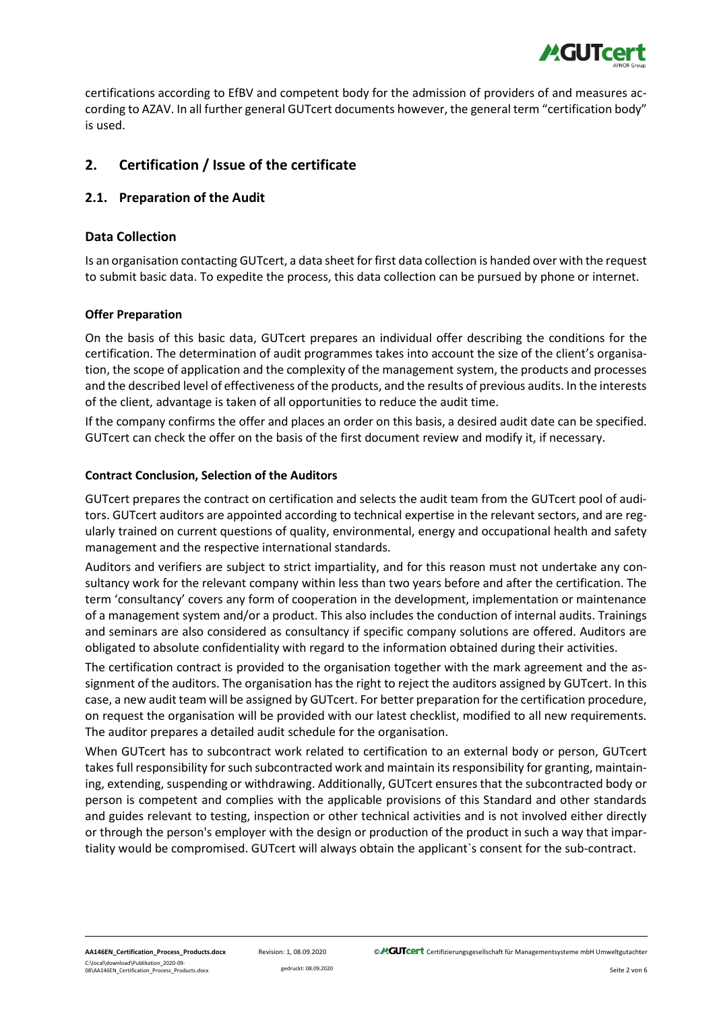

certifications according to EfBV and competent body for the admission of providers of and measures according to AZAV. In all further general GUTcert documents however, the general term "certification body" is used.

# **2. Certification / Issue of the certificate**

#### **2.1. Preparation of the Audit**

#### **Data Collection**

Is an organisation contacting GUTcert, a data sheet for first data collection is handed over with the request to submit basic data. To expedite the process, this data collection can be pursued by phone or internet.

#### **Offer Preparation**

On the basis of this basic data, GUTcert prepares an individual offer describing the conditions for the certification. The determination of audit programmes takes into account the size of the client's organisation, the scope of application and the complexity of the management system, the products and processes and the described level of effectiveness of the products, and the results of previous audits. In the interests of the client, advantage is taken of all opportunities to reduce the audit time.

If the company confirms the offer and places an order on this basis, a desired audit date can be specified. GUTcert can check the offer on the basis of the first document review and modify it, if necessary.

#### **Contract Conclusion, Selection of the Auditors**

GUTcert prepares the contract on certification and selects the audit team from the GUTcert pool of auditors. GUTcert auditors are appointed according to technical expertise in the relevant sectors, and are regularly trained on current questions of quality, environmental, energy and occupational health and safety management and the respective international standards.

Auditors and verifiers are subject to strict impartiality, and for this reason must not undertake any consultancy work for the relevant company within less than two years before and after the certification. The term 'consultancy' covers any form of cooperation in the development, implementation or maintenance of a management system and/or a product. This also includes the conduction of internal audits. Trainings and seminars are also considered as consultancy if specific company solutions are offered. Auditors are obligated to absolute confidentiality with regard to the information obtained during their activities.

The certification contract is provided to the organisation together with the mark agreement and the assignment of the auditors. The organisation has the right to reject the auditors assigned by GUTcert. In this case, a new audit team will be assigned by GUTcert. For better preparation for the certification procedure, on request the organisation will be provided with our latest checklist, modified to all new requirements. The auditor prepares a detailed audit schedule for the organisation.

When GUTcert has to subcontract work related to certification to an external body or person, GUTcert takesfull responsibility for such subcontracted work and maintain its responsibility for granting, maintaining, extending, suspending or withdrawing. Additionally, GUTcert ensures that the subcontracted body or person is competent and complies with the applicable provisions of this Standard and other standards and guides relevant to testing, inspection or other technical activities and is not involved either directly or through the person's employer with the design or production of the product in such a way that impartiality would be compromised. GUTcert will always obtain the applicant`s consent for the sub-contract.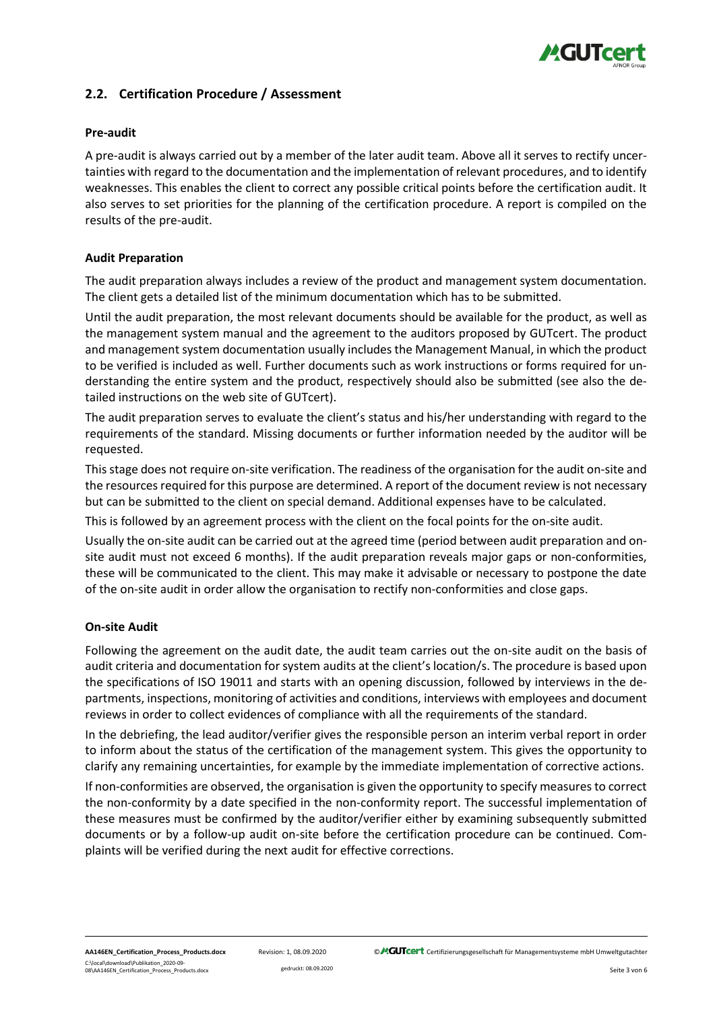

## **2.2. Certification Procedure / Assessment**

#### **Pre-audit**

A pre-audit is always carried out by a member of the later audit team. Above all it serves to rectify uncertainties with regard to the documentation and the implementation of relevant procedures, and to identify weaknesses. This enables the client to correct any possible critical points before the certification audit. It also serves to set priorities for the planning of the certification procedure. A report is compiled on the results of the pre-audit.

#### **Audit Preparation**

The audit preparation always includes a review of the product and management system documentation. The client gets a detailed list of the minimum documentation which has to be submitted.

Until the audit preparation, the most relevant documents should be available for the product, as well as the management system manual and the agreement to the auditors proposed by GUTcert. The product and management system documentation usually includes the Management Manual, in which the product to be verified is included as well. Further documents such as work instructions or forms required for understanding the entire system and the product, respectively should also be submitted (see also the detailed instructions on the web site of GUTcert).

The audit preparation serves to evaluate the client's status and his/her understanding with regard to the requirements of the standard. Missing documents or further information needed by the auditor will be requested.

This stage does not require on-site verification. The readiness of the organisation for the audit on-site and the resources required for this purpose are determined. A report of the document review is not necessary but can be submitted to the client on special demand. Additional expenses have to be calculated.

This is followed by an agreement process with the client on the focal points for the on-site audit.

Usually the on-site audit can be carried out at the agreed time (period between audit preparation and onsite audit must not exceed 6 months). If the audit preparation reveals major gaps or non-conformities, these will be communicated to the client. This may make it advisable or necessary to postpone the date of the on-site audit in order allow the organisation to rectify non-conformities and close gaps.

#### **On-site Audit**

Following the agreement on the audit date, the audit team carries out the on-site audit on the basis of audit criteria and documentation for system audits at the client's location/s. The procedure is based upon the specifications of ISO 19011 and starts with an opening discussion, followed by interviews in the departments, inspections, monitoring of activities and conditions, interviews with employees and document reviews in order to collect evidences of compliance with all the requirements of the standard.

In the debriefing, the lead auditor/verifier gives the responsible person an interim verbal report in order to inform about the status of the certification of the management system. This gives the opportunity to clarify any remaining uncertainties, for example by the immediate implementation of corrective actions.

If non-conformities are observed, the organisation is given the opportunity to specify measures to correct the non-conformity by a date specified in the non-conformity report. The successful implementation of these measures must be confirmed by the auditor/verifier either by examining subsequently submitted documents or by a follow-up audit on-site before the certification procedure can be continued. Complaints will be verified during the next audit for effective corrections.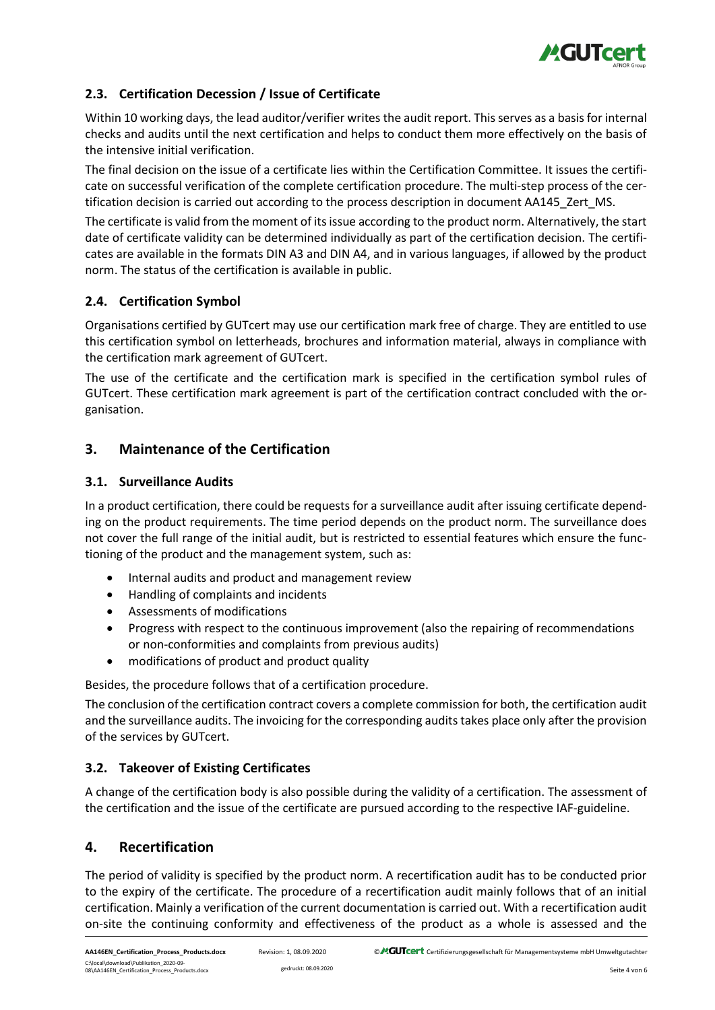

## **2.3. Certification Decession / Issue of Certificate**

Within 10 working days, the lead auditor/verifier writes the audit report. This serves as a basis for internal checks and audits until the next certification and helps to conduct them more effectively on the basis of the intensive initial verification.

The final decision on the issue of a certificate lies within the Certification Committee. It issues the certificate on successful verification of the complete certification procedure. The multi-step process of the certification decision is carried out according to the process description in document AA145\_Zert\_MS.

The certificate is valid from the moment of its issue according to the product norm. Alternatively, the start date of certificate validity can be determined individually as part of the certification decision. The certificates are available in the formats DIN A3 and DIN A4, and in various languages, if allowed by the product norm. The status of the certification is available in public.

## **2.4. Certification Symbol**

Organisations certified by GUTcert may use our certification mark free of charge. They are entitled to use this certification symbol on letterheads, brochures and information material, always in compliance with the certification mark agreement of GUTcert.

The use of the certificate and the certification mark is specified in the certification symbol rules of GUTcert. These certification mark agreement is part of the certification contract concluded with the organisation.

## **3. Maintenance of the Certification**

#### **3.1. Surveillance Audits**

In a product certification, there could be requests for a surveillance audit after issuing certificate depending on the product requirements. The time period depends on the product norm. The surveillance does not cover the full range of the initial audit, but is restricted to essential features which ensure the functioning of the product and the management system, such as:

- Internal audits and product and management review
- Handling of complaints and incidents
- Assessments of modifications
- Progress with respect to the continuous improvement (also the repairing of recommendations or non-conformities and complaints from previous audits)
- modifications of product and product quality

Besides, the procedure follows that of a certification procedure.

The conclusion of the certification contract covers a complete commission for both, the certification audit and the surveillance audits. The invoicing for the corresponding audits takes place only after the provision of the services by GUTcert.

## **3.2. Takeover of Existing Certificates**

A change of the certification body is also possible during the validity of a certification. The assessment of the certification and the issue of the certificate are pursued according to the respective IAF-guideline.

## **4. Recertification**

The period of validity is specified by the product norm. A recertification audit has to be conducted prior to the expiry of the certificate. The procedure of a recertification audit mainly follows that of an initial certification. Mainly a verification of the current documentation is carried out. With a recertification audit on-site the continuing conformity and effectiveness of the product as a whole is assessed and the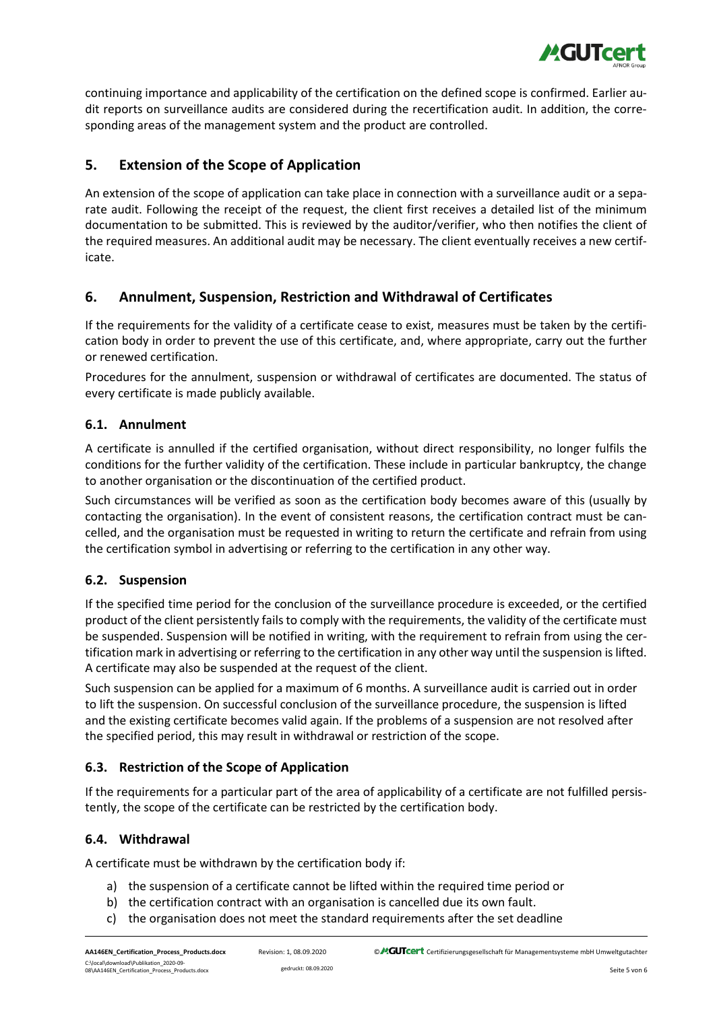

continuing importance and applicability of the certification on the defined scope is confirmed. Earlier audit reports on surveillance audits are considered during the recertification audit. In addition, the corresponding areas of the management system and the product are controlled.

# **5. Extension of the Scope of Application**

An extension of the scope of application can take place in connection with a surveillance audit or a separate audit. Following the receipt of the request, the client first receives a detailed list of the minimum documentation to be submitted. This is reviewed by the auditor/verifier, who then notifies the client of the required measures. An additional audit may be necessary. The client eventually receives a new certificate.

# **6. Annulment, Suspension, Restriction and Withdrawal of Certificates**

If the requirements for the validity of a certificate cease to exist, measures must be taken by the certification body in order to prevent the use of this certificate, and, where appropriate, carry out the further or renewed certification.

Procedures for the annulment, suspension or withdrawal of certificates are documented. The status of every certificate is made publicly available.

## **6.1. Annulment**

A certificate is annulled if the certified organisation, without direct responsibility, no longer fulfils the conditions for the further validity of the certification. These include in particular bankruptcy, the change to another organisation or the discontinuation of the certified product.

Such circumstances will be verified as soon as the certification body becomes aware of this (usually by contacting the organisation). In the event of consistent reasons, the certification contract must be cancelled, and the organisation must be requested in writing to return the certificate and refrain from using the certification symbol in advertising or referring to the certification in any other way.

# **6.2. Suspension**

If the specified time period for the conclusion of the surveillance procedure is exceeded, or the certified product of the client persistently fails to comply with the requirements, the validity of the certificate must be suspended. Suspension will be notified in writing, with the requirement to refrain from using the certification mark in advertising or referring to the certification in any other way until the suspension is lifted. A certificate may also be suspended at the request of the client.

Such suspension can be applied for a maximum of 6 months. A surveillance audit is carried out in order to lift the suspension. On successful conclusion of the surveillance procedure, the suspension is lifted and the existing certificate becomes valid again. If the problems of a suspension are not resolved after the specified period, this may result in withdrawal or restriction of the scope.

# **6.3. Restriction of the Scope of Application**

If the requirements for a particular part of the area of applicability of a certificate are not fulfilled persistently, the scope of the certificate can be restricted by the certification body.

# **6.4. Withdrawal**

A certificate must be withdrawn by the certification body if:

- a) the suspension of a certificate cannot be lifted within the required time period or
- b) the certification contract with an organisation is cancelled due its own fault.
- c) the organisation does not meet the standard requirements after the set deadline